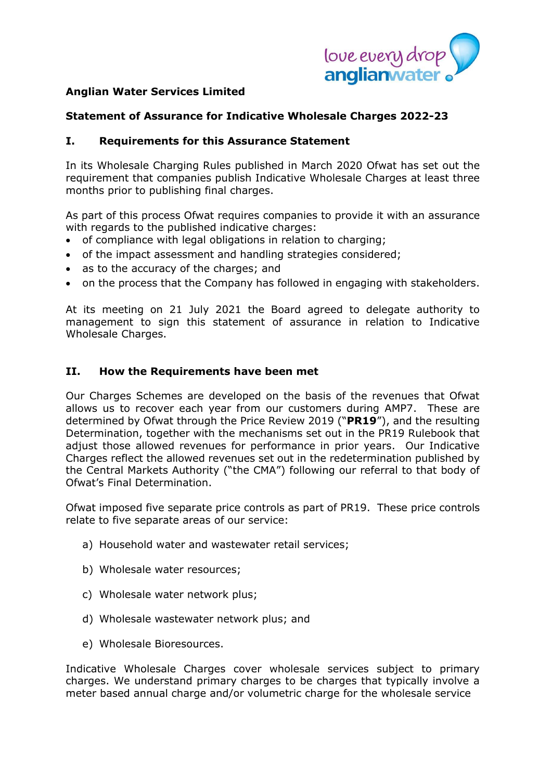

# **Anglian Water Services Limited**

### **Statement of Assurance for Indicative Wholesale Charges 2022-23**

#### **I. Requirements for this Assurance Statement**

In its Wholesale Charging Rules published in March 2020 Ofwat has set out the requirement that companies publish Indicative Wholesale Charges at least three months prior to publishing final charges.

As part of this process Ofwat requires companies to provide it with an assurance with regards to the published indicative charges:

- of compliance with legal obligations in relation to charging;
- of the impact assessment and handling strategies considered;
- as to the accuracy of the charges; and
- on the process that the Company has followed in engaging with stakeholders.

At its meeting on 21 July 2021 the Board agreed to delegate authority to management to sign this statement of assurance in relation to Indicative Wholesale Charges.

#### **II. How the Requirements have been met**

Our Charges Schemes are developed on the basis of the revenues that Ofwat allows us to recover each year from our customers during AMP7. These are determined by Ofwat through the Price Review 2019 ("**PR19**"), and the resulting Determination, together with the mechanisms set out in the PR19 Rulebook that adjust those allowed revenues for performance in prior years. Our Indicative Charges reflect the allowed revenues set out in the redetermination published by the Central Markets Authority ("the CMA") following our referral to that body of Ofwat's Final Determination.

Ofwat imposed five separate price controls as part of PR19. These price controls relate to five separate areas of our service:

- a) Household water and wastewater retail services;
- b) Wholesale water resources;
- c) Wholesale water network plus;
- d) Wholesale wastewater network plus; and
- e) Wholesale Bioresources.

Indicative Wholesale Charges cover wholesale services subject to primary charges. We understand primary charges to be charges that typically involve a meter based annual charge and/or volumetric charge for the wholesale service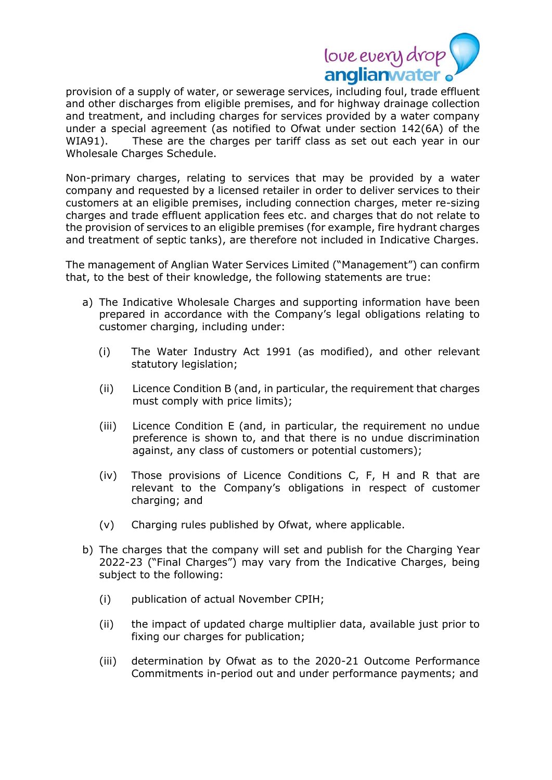

provision of a supply of water, or sewerage services, including foul, trade effluent and other discharges from eligible premises, and for highway drainage collection and treatment, and including charges for services provided by a water company under a special agreement (as notified to Ofwat under section 142(6A) of the WIA91). These are the charges per tariff class as set out each year in our Wholesale Charges Schedule.

Non-primary charges, relating to services that may be provided by a water company and requested by a licensed retailer in order to deliver services to their customers at an eligible premises, including connection charges, meter re-sizing charges and trade effluent application fees etc. and charges that do not relate to the provision of services to an eligible premises (for example, fire hydrant charges and treatment of septic tanks), are therefore not included in Indicative Charges.

The management of Anglian Water Services Limited ("Management") can confirm that, to the best of their knowledge, the following statements are true:

- a) The Indicative Wholesale Charges and supporting information have been prepared in accordance with the Company's legal obligations relating to customer charging, including under:
	- (i) The Water Industry Act 1991 (as modified), and other relevant statutory legislation;
	- (ii) Licence Condition B (and, in particular, the requirement that charges must comply with price limits);
	- (iii) Licence Condition E (and, in particular, the requirement no undue preference is shown to, and that there is no undue discrimination against, any class of customers or potential customers);
	- (iv) Those provisions of Licence Conditions C, F, H and R that are relevant to the Company's obligations in respect of customer charging; and
	- (v) Charging rules published by Ofwat, where applicable.
- b) The charges that the company will set and publish for the Charging Year 2022-23 ("Final Charges") may vary from the Indicative Charges, being subject to the following:
	- (i) publication of actual November CPIH;
	- (ii) the impact of updated charge multiplier data, available just prior to fixing our charges for publication;
	- (iii) determination by Ofwat as to the 2020-21 Outcome Performance Commitments in-period out and under performance payments; and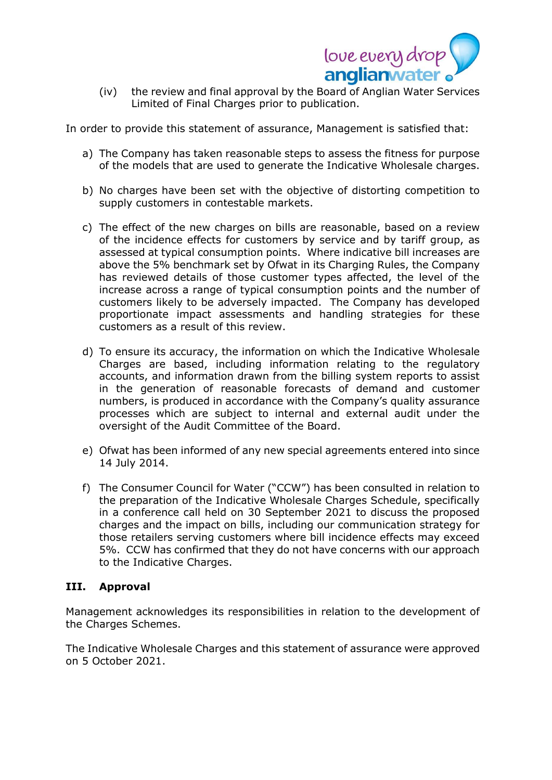

(iv) the review and final approval by the Board of Anglian Water Services Limited of Final Charges prior to publication.

In order to provide this statement of assurance, Management is satisfied that:

- a) The Company has taken reasonable steps to assess the fitness for purpose of the models that are used to generate the Indicative Wholesale charges.
- b) No charges have been set with the objective of distorting competition to supply customers in contestable markets.
- c) The effect of the new charges on bills are reasonable, based on a review of the incidence effects for customers by service and by tariff group, as assessed at typical consumption points. Where indicative bill increases are above the 5% benchmark set by Ofwat in its Charging Rules, the Company has reviewed details of those customer types affected, the level of the increase across a range of typical consumption points and the number of customers likely to be adversely impacted. The Company has developed proportionate impact assessments and handling strategies for these customers as a result of this review.
- d) To ensure its accuracy, the information on which the Indicative Wholesale Charges are based, including information relating to the regulatory accounts, and information drawn from the billing system reports to assist in the generation of reasonable forecasts of demand and customer numbers, is produced in accordance with the Company's quality assurance processes which are subject to internal and external audit under the oversight of the Audit Committee of the Board.
- e) Ofwat has been informed of any new special agreements entered into since 14 July 2014.
- f) The Consumer Council for Water ("CCW") has been consulted in relation to the preparation of the Indicative Wholesale Charges Schedule, specifically in a conference call held on 30 September 2021 to discuss the proposed charges and the impact on bills, including our communication strategy for those retailers serving customers where bill incidence effects may exceed 5%. CCW has confirmed that they do not have concerns with our approach to the Indicative Charges.

## **III. Approval**

Management acknowledges its responsibilities in relation to the development of the Charges Schemes.

The Indicative Wholesale Charges and this statement of assurance were approved on 5 October 2021.